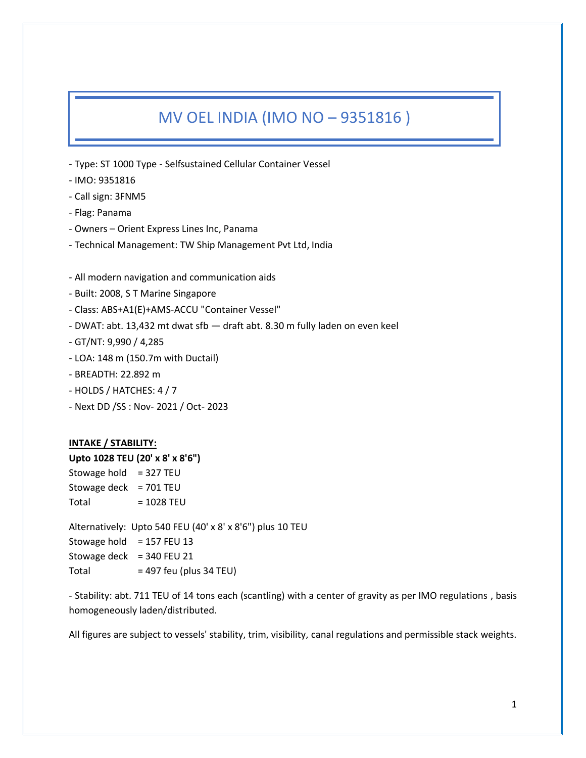# MV OEL INDIA (IMO NO – 9351816 )

- Type: ST 1000 Type Selfsustained Cellular Container Vessel
- IMO: 9351816
- Call sign: 3FNM5
- Flag: Panama
- Owners Orient Express Lines Inc, Panama
- Technical Management: TW Ship Management Pvt Ltd, India
- All modern navigation and communication aids
- Built: 2008, S T Marine Singapore
- Class: ABS+A1(E)+AMS-ACCU "Container Vessel"
- DWAT: abt. 13,432 mt dwat sfb draft abt. 8.30 m fully laden on even keel
- GT/NT: 9,990 / 4,285
- LOA: 148 m (150.7m with Ductail)
- BREADTH: 22.892 m
- HOLDS / HATCHES: 4 / 7
- Next DD /SS : Nov- 2021 / Oct- 2023

## **INTAKE / STABILITY:**

**Upto 1028 TEU (20' x 8' x 8'6")**

Stowage hold  $= 327$  TEU Stowage deck  $= 701$  TEU  $Total = 1028 TEU$ 

Alternatively: Upto 540 FEU (40' x 8' x 8'6") plus 10 TEU Stowage hold  $= 157$  FEU 13 Stowage deck =  $340$  FEU 21 Total  $= 497$  feu (plus 34 TEU)

- Stability: abt. 711 TEU of 14 tons each (scantling) with a center of gravity as per IMO regulations , basis homogeneously laden/distributed.

All figures are subject to vessels' stability, trim, visibility, canal regulations and permissible stack weights.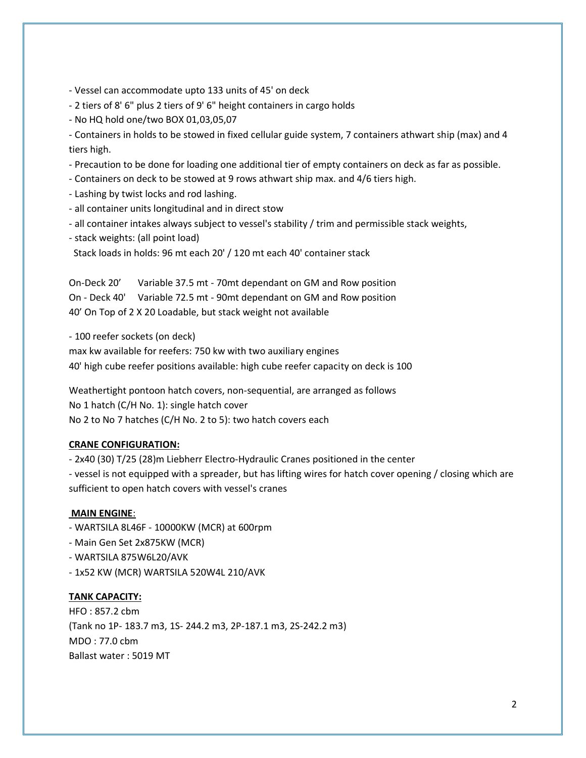- Vessel can accommodate upto 133 units of 45' on deck
- 2 tiers of 8' 6" plus 2 tiers of 9' 6" height containers in cargo holds
- No HQ hold one/two BOX 01,03,05,07

- Containers in holds to be stowed in fixed cellular guide system, 7 containers athwart ship (max) and 4 tiers high.

- Precaution to be done for loading one additional tier of empty containers on deck as far as possible.
- Containers on deck to be stowed at 9 rows athwart ship max. and 4/6 tiers high.
- Lashing by twist locks and rod lashing.
- all container units longitudinal and in direct stow
- all container intakes always subject to vessel's stability / trim and permissible stack weights,
- stack weights: (all point load)
- Stack loads in holds: 96 mt each 20' / 120 mt each 40' container stack

On-Deck 20' Variable 37.5 mt - 70mt dependant on GM and Row position On - Deck 40' Variable 72.5 mt - 90mt dependant on GM and Row position 40' On Top of 2 X 20 Loadable, but stack weight not available

- 100 reefer sockets (on deck)

max kw available for reefers: 750 kw with two auxiliary engines 40' high cube reefer positions available: high cube reefer capacity on deck is 100

Weathertight pontoon hatch covers, non-sequential, are arranged as follows No 1 hatch (C/H No. 1): single hatch cover No 2 to No 7 hatches (C/H No. 2 to 5): two hatch covers each

### **CRANE CONFIGURATION:**

- 2x40 (30) T/25 (28)m Liebherr Electro-Hydraulic Cranes positioned in the center

- vessel is not equipped with a spreader, but has lifting wires for hatch cover opening / closing which are sufficient to open hatch covers with vessel's cranes

### **MAIN ENGINE**:

- WARTSILA 8L46F 10000KW (MCR) at 600rpm
- Main Gen Set 2x875KW (MCR)
- WARTSILA 875W6L20/AVK
- 1x52 KW (MCR) WARTSILA 520W4L 210/AVK

### **TANK CAPACITY:**

HFO : 857.2 cbm (Tank no 1P- 183.7 m3, 1S- 244.2 m3, 2P-187.1 m3, 2S-242.2 m3) MDO : 77.0 cbm Ballast water : 5019 MT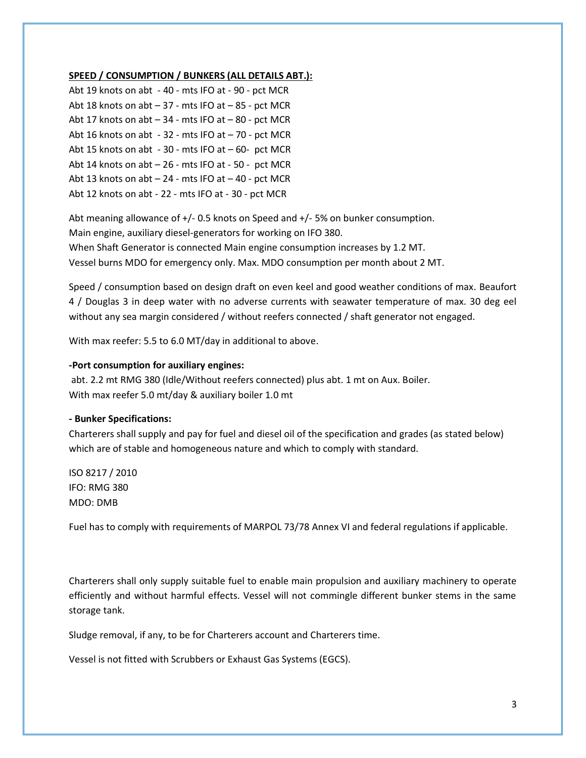### **SPEED / CONSUMPTION / BUNKERS (ALL DETAILS ABT.):**

| Abt 19 knots on abt - 40 - mts IFO at - 90 - pct MCR    |
|---------------------------------------------------------|
| Abt 18 knots on abt - 37 - mts IFO at - 85 - pct MCR    |
| Abt 17 knots on $abt - 34$ - mts IFO at $-80$ - pct MCR |
| Abt 16 knots on abt - 32 - mts IFO at - 70 - pct MCR    |
| Abt 15 knots on abt - 30 - mts IFO at - 60- pct MCR     |
| Abt 14 knots on abt - 26 - mts IFO at - 50 - pct MCR    |
| Abt 13 knots on abt - 24 - mts IFO at - 40 - pct MCR    |
| Abt 12 knots on abt - 22 - mts IFO at - 30 - pct MCR    |

Abt meaning allowance of +/- 0.5 knots on Speed and +/- 5% on bunker consumption. Main engine, auxiliary diesel-generators for working on IFO 380. When Shaft Generator is connected Main engine consumption increases by 1.2 MT. Vessel burns MDO for emergency only. Max. MDO consumption per month about 2 MT.

Speed / consumption based on design draft on even keel and good weather conditions of max. Beaufort 4 / Douglas 3 in deep water with no adverse currents with seawater temperature of max. 30 deg eel without any sea margin considered / without reefers connected / shaft generator not engaged.

With max reefer: 5.5 to 6.0 MT/day in additional to above.

### **-Port consumption for auxiliary engines:**

abt. 2.2 mt RMG 380 (Idle/Without reefers connected) plus abt. 1 mt on Aux. Boiler. With max reefer 5.0 mt/day & auxiliary boiler 1.0 mt

#### **- Bunker Specifications:**

Charterers shall supply and pay for fuel and diesel oil of the specification and grades (as stated below) which are of stable and homogeneous nature and which to comply with standard.

ISO 8217 / 2010 IFO: RMG 380 MDO: DMB

Fuel has to comply with requirements of MARPOL 73/78 Annex VI and federal regulations if applicable.

Charterers shall only supply suitable fuel to enable main propulsion and auxiliary machinery to operate efficiently and without harmful effects. Vessel will not commingle different bunker stems in the same storage tank.

Sludge removal, if any, to be for Charterers account and Charterers time.

Vessel is not fitted with Scrubbers or Exhaust Gas Systems (EGCS).